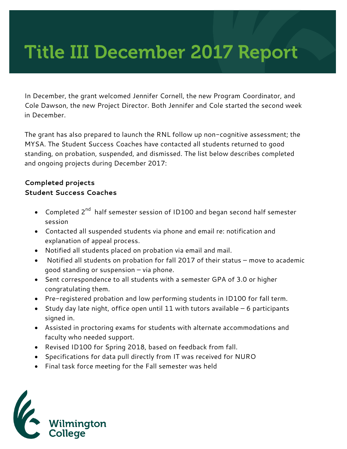## Title III December 2017 Report

In December, the grant welcomed Jennifer Cornell, the new Program Coordinator, and Cole Dawson, the new Project Director. Both Jennifer and Cole started the second week in December.

The grant has also prepared to launch the RNL follow up non-cognitive assessment; the MYSA. The Student Success Coaches have contacted all students returned to good standing, on probation, suspended, and dismissed. The list below describes completed and ongoing projects during December 2017:

## **Completed projects Student Success Coaches**

- Completed 2<sup>nd</sup> half semester session of ID100 and began second half semester session
- Contacted all suspended students via phone and email re: notification and explanation of appeal process.
- Notified all students placed on probation via email and mail.
- Notified all students on probation for fall 2017 of their status move to academic good standing or suspension – via phone.
- Sent correspondence to all students with a semester GPA of 3.0 or higher congratulating them.
- Pre-registered probation and low performing students in ID100 for fall term.
- Study day late night, office open until 11 with tutors available 6 participants signed in.
- Assisted in proctoring exams for students with alternate accommodations and faculty who needed support.
- Revised ID100 for Spring 2018, based on feedback from fall.
- Specifications for data pull directly from IT was received for NURO
- Final task force meeting for the Fall semester was held

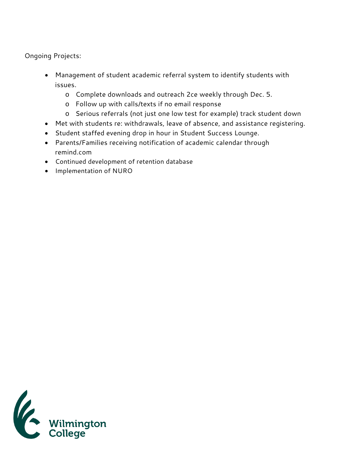Ongoing Projects:

- Management of student academic referral system to identify students with issues.
	- o Complete downloads and outreach 2ce weekly through Dec. 5.
	- o Follow up with calls/texts if no email response
	- o Serious referrals (not just one low test for example) track student down
- Met with students re: withdrawals, leave of absence, and assistance registering.
- Student staffed evening drop in hour in Student Success Lounge.
- Parents/Families receiving notification of academic calendar through remind.com
- Continued development of retention database
- Implementation of NURO

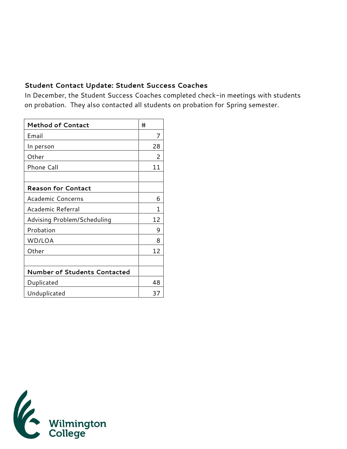## **Student Contact Update: Student Success Coaches**

In December, the Student Success Coaches completed check-in meetings with students on probation. They also contacted all students on probation for Spring semester.

| <b>Method of Contact</b>     | #  |
|------------------------------|----|
| Email                        | 7  |
| In person                    | 28 |
| Other                        | 2  |
| Phone Call                   | 11 |
|                              |    |
| <b>Reason for Contact</b>    |    |
| <b>Academic Concerns</b>     | 6  |
| Academic Referral            | 1  |
| Advising Problem/Scheduling  | 12 |
| Probation                    | 9  |
| WD/LOA                       | 8  |
| Other                        | 12 |
|                              |    |
| Number of Students Contacted |    |
| Duplicated                   | 48 |
| Unduplicated                 | 37 |